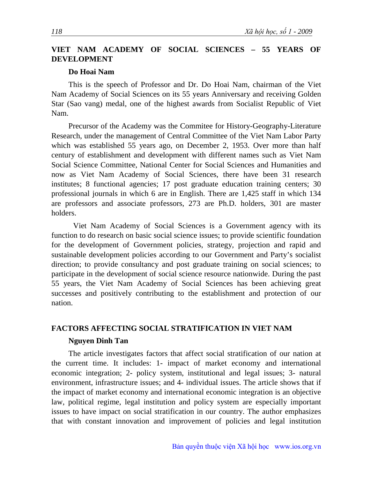## **VIET NAM ACADEMY OF SOCIAL SCIENCES – 55 YEARS OF DEVELOPMENT**

### **Do Hoai Nam**

This is the speech of Professor and Dr. Do Hoai Nam, chairman of the Viet Nam Academy of Social Sciences on its 55 years Anniversary and receiving Golden Star (Sao vang) medal, one of the highest awards from Socialist Republic of Viet Nam.

Precursor of the Academy was the Commitee for History-Geography-Literature Research, under the management of Central Committee of the Viet Nam Labor Party which was established 55 years ago, on December 2, 1953. Over more than half century of establishment and development with different names such as Viet Nam Social Science Committee, National Center for Social Sciences and Humanities and now as Viet Nam Academy of Social Sciences, there have been 31 research institutes; 8 functional agencies; 17 post graduate education training centers; 30 professional journals in which 6 are in English. There are 1,425 staff in which 134 are professors and associate professors, 273 are Ph.D. holders, 301 are master holders.

Viet Nam Academy of Social Sciences is a Government agency with its function to do research on basic social science issues; to provide scientific foundation for the development of Government policies, strategy, projection and rapid and sustainable development policies according to our Government and Party's socialist direction; to provide consultancy and post graduate training on social sciences; to participate in the development of social science resource nationwide. During the past 55 years, the Viet Nam Academy of Social Sciences has been achieving great successes and positively contributing to the establishment and protection of our nation.

### **FACTORS AFFECTING SOCIAL STRATIFICATION IN VIET NAM**

#### **Nguyen Dinh Tan**

The article investigates factors that affect social stratification of our nation at the current time. It includes: 1- impact of market economy and international economic integration; 2- policy system, institutional and legal issues; 3- natural environment, infrastructure issues; and 4- individual issues. The article shows that if the impact of market economy and international economic integration is an objective law, political regime, legal institution and policy system are especially important issues to have impact on social stratification in our country. The author emphasizes that with constant innovation and improvement of policies and legal institution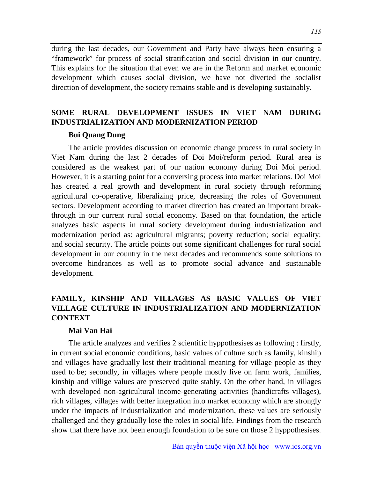during the last decades, our Government and Party have always been ensuring a "framework" for process of social stratification and social division in our country. This explains for the situation that even we are in the Reform and market economic development which causes social division, we have not diverted the socialist direction of development, the society remains stable and is developing sustainably.

## **SOME RURAL DEVELOPMENT ISSUES IN VIET NAM DURING INDUSTRIALIZATION AND MODERNIZATION PERIOD**

#### **Bui Quang Dung**

The article provides discussion on economic change process in rural society in Viet Nam during the last 2 decades of Doi Moi/reform period. Rural area is considered as the weakest part of our nation economy during Doi Moi period. However, it is a starting point for a conversing process into market relations. Doi Moi has created a real growth and development in rural society through reforming agricultural co-operative, liberalizing price, decreasing the roles of Government sectors. Development according to market direction has created an important breakthrough in our current rural social economy. Based on that foundation, the article analyzes basic aspects in rural society development during industrialization and modernization period as: agricultural migrants; poverty reduction; social equality; and social security. The article points out some significant challenges for rural social development in our country in the next decades and recommends some solutions to overcome hindrances as well as to promote social advance and sustainable development.

## **FAMILY, KINSHIP AND VILLAGES AS BASIC VALUES OF VIET VILLAGE CULTURE IN INDUSTRIALIZATION AND MODERNIZATION CONTEXT**

#### **Mai Van Hai**

The article analyzes and verifies 2 scientific hyppothesises as following : firstly, in current social economic conditions, basic values of culture such as family, kinship and villages have gradually lost their traditional meaning for village people as they used to be; secondly, in villages where people mostly live on farm work, families, kinship and villige values are preserved quite stably. On the other hand, in villages with developed non-agricultural income-generating activities (handicrafts villages), rich villages, villages with better integration into market economy which are strongly under the impacts of industrialization and modernization, these values are seriously challenged and they gradually lose the roles in social life. Findings from the research show that there have not been enough foundation to be sure on those 2 hyppothesises.